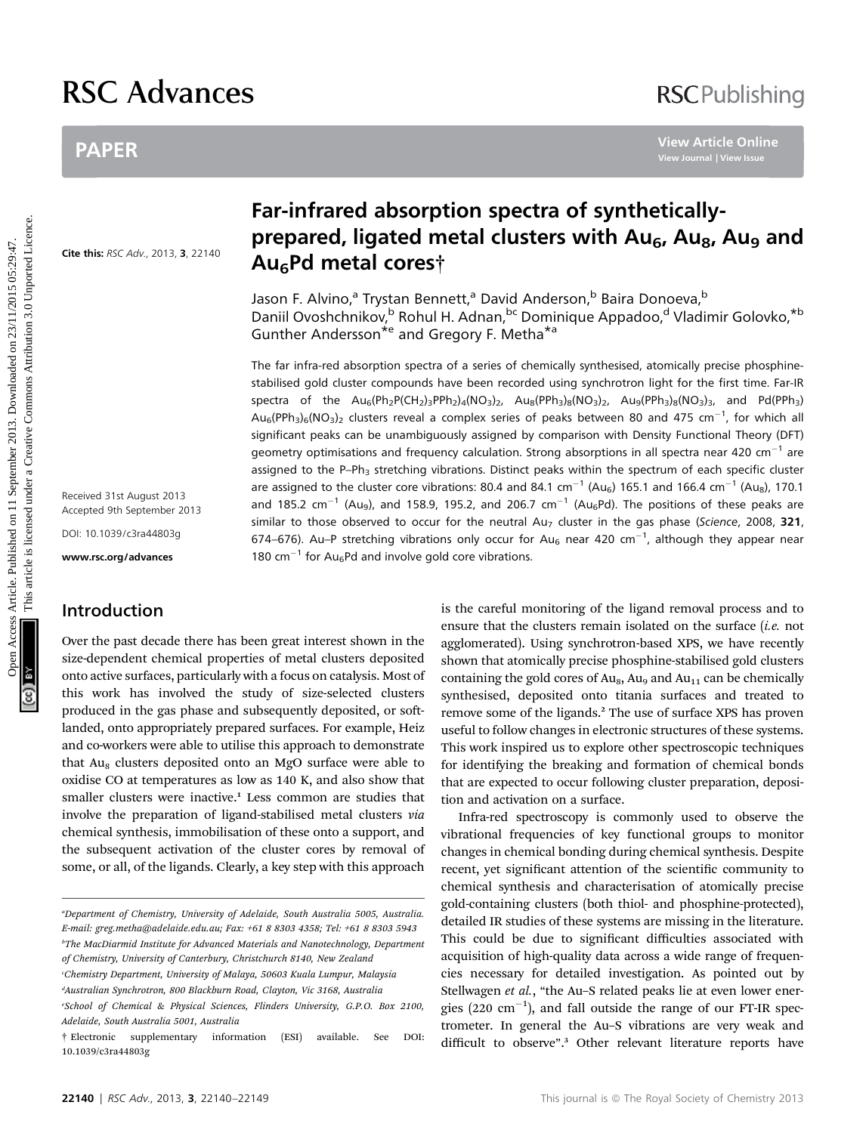# RSC Advances

# PAPER

Cite this: RSC Adv., 2013, 3, 22140

Received 31st August 2013 Accepted 9th September 2013

DOI: 10.1039/c3ra44803g

www.rsc.org/advances

# Introduction

Over the past decade there has been great interest shown in the size-dependent chemical properties of metal clusters deposited onto active surfaces, particularly with a focus on catalysis. Most of this work has involved the study of size-selected clusters produced in the gas phase and subsequently deposited, or softlanded, onto appropriately prepared surfaces. For example, Heiz and co-workers were able to utilise this approach to demonstrate that  $Au<sub>8</sub>$  clusters deposited onto an MgO surface were able to oxidise CO at temperatures as low as 140 K, and also show that smaller clusters were inactive.<sup>1</sup> Less common are studies that involve the preparation of ligand-stabilised metal clusters via chemical synthesis, immobilisation of these onto a support, and the subsequent activation of the cluster cores by removal of some, or all, of the ligands. Clearly, a key step with this approach

c Chemistry Department, University of Malaya, 50603 Kuala Lumpur, Malaysia d Australian Synchrotron, 800 Blackburn Road, Clayton, Vic 3168, Australia

# Far-infrared absorption spectra of syntheticallyprepared, ligated metal clusters with Au<sub>6</sub>, Au<sub>8</sub>, Au<sub>9</sub> and Au6Pd metal cores†

Jason F. Alvino,<sup>a</sup> Trystan Bennett,<sup>a</sup> David Anderson,<sup>b</sup> Baira Donoeva,<sup>b</sup> Daniil Ovoshchnikov,<sup>b</sup> Rohul H. Adnan, <sup>bc</sup> Dominique Appadoo,<sup>d</sup> Vladimir Golovko, \*b Gunther Andersson\*<sup>e</sup> and Gregory F. Metha\*<sup>a</sup>

The far infra-red absorption spectra of a series of chemically synthesised, atomically precise phosphinestabilised gold cluster compounds have been recorded using synchrotron light for the first time. Far-IR spectra of the  $Au_6(Ph_2P(CH_2)_3PPh_2)_4(NO_3)_2$ ,  $Au_8(PPh_3)_8(NO_3)_2$ ,  $Au_9(PPh_3)_8(NO_3)_3$ , and Pd(PPh<sub>3</sub>)  $\textsf{Au}_6(\textsf{PPh}_3)_6(\textsf{NO}_3)_2$  clusters reveal a complex series of peaks between 80 and 475 cm $^{-1}$ , for which all significant peaks can be unambiguously assigned by comparison with Density Functional Theory (DFT) geometry optimisations and frequency calculation. Strong absorptions in all spectra near 420 cm<sup>-1</sup> are assigned to the P–Ph<sub>3</sub> stretching vibrations. Distinct peaks within the spectrum of each specific cluster are assigned to the cluster core vibrations: 80.4 and 84.1 cm<sup>-1</sup> (Au<sub>6</sub>) 165.1 and 166.4 cm<sup>-1</sup> (Au<sub>8</sub>), 170.1 and 185.2 cm<sup>-1</sup> (Au<sub>9</sub>), and 158.9, 195.2, and 206.7 cm<sup>-1</sup> (Au<sub>6</sub>Pd). The positions of these peaks are similar to those observed to occur for the neutral  $Au<sub>7</sub>$  cluster in the gas phase (Science, 2008, 321, 674–676). Au–P stretching vibrations only occur for Au<sub>6</sub> near 420 cm<sup>-1</sup>, although they appear near 180 cm<sup>-1</sup> for Au<sub>6</sub>Pd and involve gold core vibrations. PAPER<br>
Far-infrared absorption spectra of synthetically-<br> **Far-infrared absorption spectra of synthetically-**<br> **Prepared, ligated metal clusters with Au<sub>6</sub>, Au<sub>9</sub>, Au<sub>9</sub><br>
2016<br>
2016 2017 March 2018 2019 2017 March 2018 20** 

is the careful monitoring of the ligand removal process and to ensure that the clusters remain isolated on the surface *(i.e.* not agglomerated). Using synchrotron-based XPS, we have recently shown that atomically precise phosphine-stabilised gold clusters containing the gold cores of  $Au<sub>8</sub>$ ,  $Au<sub>9</sub>$  and  $Au<sub>11</sub>$  can be chemically synthesised, deposited onto titania surfaces and treated to remove some of the ligands.<sup>2</sup> The use of surface XPS has proven useful to follow changes in electronic structures of these systems. This work inspired us to explore other spectroscopic techniques for identifying the breaking and formation of chemical bonds that are expected to occur following cluster preparation, deposition and activation on a surface.

Infra-red spectroscopy is commonly used to observe the vibrational frequencies of key functional groups to monitor changes in chemical bonding during chemical synthesis. Despite recent, yet significant attention of the scientific community to chemical synthesis and characterisation of atomically precise gold-containing clusters (both thiol- and phosphine-protected), detailed IR studies of these systems are missing in the literature. This could be due to significant difficulties associated with acquisition of high-quality data across a wide range of frequencies necessary for detailed investigation. As pointed out by Stellwagen et al., "the Au-S related peaks lie at even lower energies (220  $\text{cm}^{-1}$ ), and fall outside the range of our FT-IR spectrometer. In general the Au–S vibrations are very weak and difficult to observe". <sup>3</sup> Other relevant literature reports have

a Department of Chemistry, University of Adelaide, South Australia 5005, Australia. E-mail: greg.metha@adelaide.edu.au; Fax: +61 8 8303 4358; Tel: +61 8 8303 5943 b The MacDiarmid Institute for Advanced Materials and Nanotechnology, Department of Chemistry, University of Canterbury, Christchurch 8140, New Zealand

e School of Chemical & Physical Sciences, Flinders University, G.P.O. Box 2100, Adelaide, South Australia 5001, Australia

<sup>†</sup> Electronic supplementary information (ESI) available. See DOI: 10.1039/c3ra44803g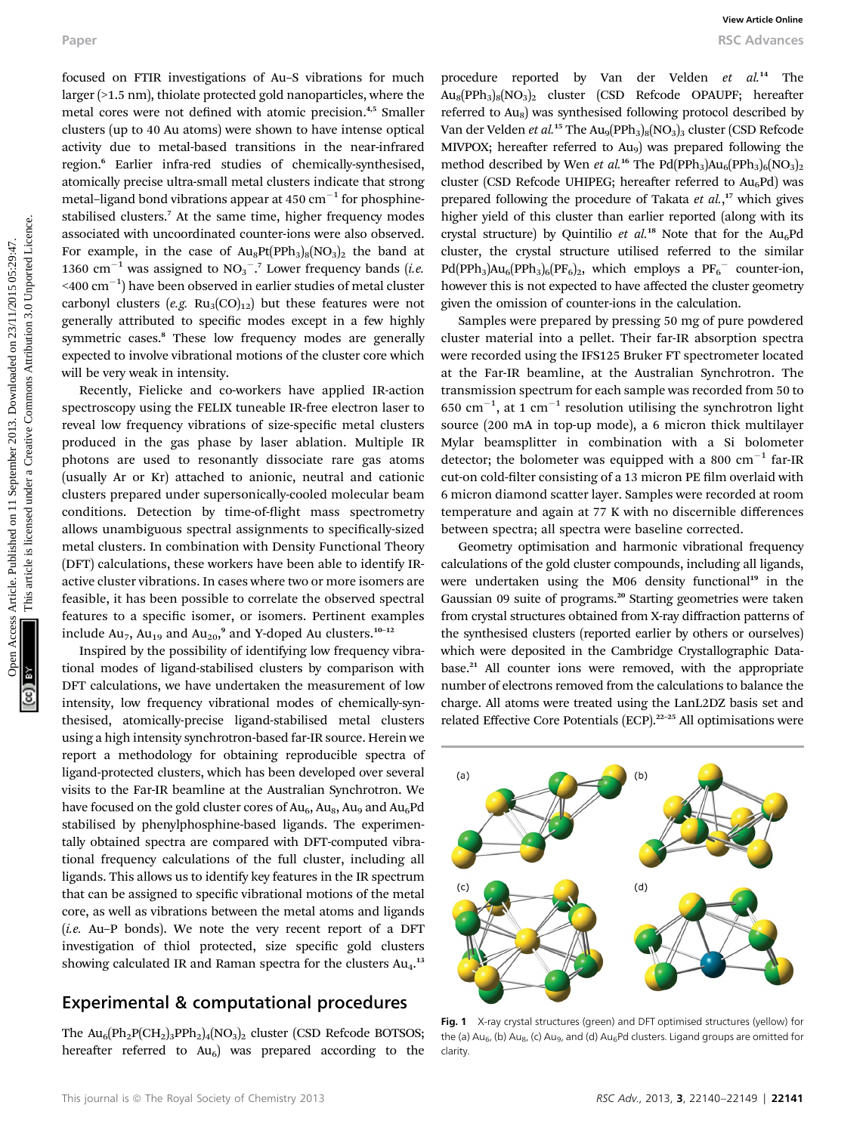focused on FTIR investigations of Au–S vibrations for much larger (>1.5 nm), thiolate protected gold nanoparticles, where the metal cores were not defined with atomic precision.<sup>4,5</sup> Smaller clusters (up to 40 Au atoms) were shown to have intense optical activity due to metal-based transitions in the near-infrared region.<sup>6</sup> Earlier infra-red studies of chemically-synthesised, atomically precise ultra-small metal clusters indicate that strong metal–ligand bond vibrations appear at  $450 \text{ cm}^{-1}$  for phosphinestabilised clusters.<sup>7</sup> At the same time, higher frequency modes associated with uncoordinated counter-ions were also observed. For example, in the case of  $Au_8Pt(PPh_3)_{8}(NO_3)_{2}$  the band at 1360 cm<sup>-1</sup> was assigned to  $NO<sub>3</sub><sup>-</sup>$ .<sup>7</sup> Lower frequency bands (*i.e.*  $\leq$ 400 cm $^{-1}$ ) have been observed in earlier studies of metal cluster carbonyl clusters (e.g.  $Ru_3(CO)_{12}$ ) but these features were not generally attributed to specific modes except in a few highly symmetric cases.<sup>8</sup> These low frequency modes are generally expected to involve vibrational motions of the cluster core which will be very weak in intensity. Paper **Council** Conservations of Au-S vibrations for most be apperent in expected by Yan der Verbanden access Council Conservations (SD are conserved under the expected on 23/11/2003. Downloaded on 23/2013. Downloaded on

Recently, Fielicke and co-workers have applied IR-action spectroscopy using the FELIX tuneable IR-free electron laser to reveal low frequency vibrations of size-specific metal clusters produced in the gas phase by laser ablation. Multiple IR photons are used to resonantly dissociate rare gas atoms (usually Ar or Kr) attached to anionic, neutral and cationic clusters prepared under supersonically-cooled molecular beam conditions. Detection by time-of-flight mass spectrometry allows unambiguous spectral assignments to specifically-sized metal clusters. In combination with Density Functional Theory (DFT) calculations, these workers have been able to identify IRactive cluster vibrations. In cases where two or more isomers are feasible, it has been possible to correlate the observed spectral features to a specific isomer, or isomers. Pertinent examples include  $\text{Au}_7$ ,  $\text{Au}_{19}$  and  $\text{Au}_{20}$ , $^9$  and Y-doped Au clusters. $^{10-12}$ 

Inspired by the possibility of identifying low frequency vibrational modes of ligand-stabilised clusters by comparison with DFT calculations, we have undertaken the measurement of low intensity, low frequency vibrational modes of chemically-synthesised, atomically-precise ligand-stabilised metal clusters using a high intensity synchrotron-based far-IR source. Herein we report a methodology for obtaining reproducible spectra of ligand-protected clusters, which has been developed over several visits to the Far-IR beamline at the Australian Synchrotron. We have focused on the gold cluster cores of  $Au_6$ ,  $Au_8$ ,  $Au_9$  and  $Au_6Pd$ stabilised by phenylphosphine-based ligands. The experimentally obtained spectra are compared with DFT-computed vibrational frequency calculations of the full cluster, including all ligands. This allows us to identify key features in the IR spectrum that can be assigned to specific vibrational motions of the metal core, as well as vibrations between the metal atoms and ligands  $(i.e.$  Au–P bonds). We note the very recent report of a DFT investigation of thiol protected, size specific gold clusters showing calculated IR and Raman spectra for the clusters  $Au_4$ .<sup>13</sup>

## Experimental & computational procedures

The  $Au_6(Ph_2P(CH_2)_3PPh_2)_4(NO_3)_2$  cluster (CSD Refcode BOTSOS; hereafter referred to  $Au_6$ ) was prepared according to the

procedure reported by Van der Velden et al.<sup>14</sup> The  $Au_8(PPh_3)_8(NO_3)_2$  cluster (CSD Refcode OPAUPF; hereafter referred to  $Au_8$ ) was synthesised following protocol described by Van der Velden et al.<sup>15</sup> The  $Au_9(PPh_3)_8(NO_3)_3$  cluster (CSD Refcode MIVPOX; hereafter referred to  $Au<sub>9</sub>$ ) was prepared following the method described by Wen et al.<sup>16</sup> The Pd(PPh<sub>3</sub>)Au<sub>6</sub>(PPh<sub>3</sub>)<sub>6</sub>(NO<sub>3</sub>)<sub>2</sub> cluster (CSD Refcode UHIPEG; hereafter referred to  $Au<sub>6</sub>Pd$ ) was prepared following the procedure of Takata et al.,<sup>17</sup> which gives higher yield of this cluster than earlier reported (along with its crystal structure) by Quintilio et  $al^{18}$  Note that for the Au<sub>6</sub>Pd cluster, the crystal structure utilised referred to the similar  $Pd(PPh_3)Au_6(PPh_3)_{6}(PF_6)_{2}$ , which employs a  $PF_6^-$  counter-ion, however this is not expected to have affected the cluster geometry given the omission of counter-ions in the calculation.

Samples were prepared by pressing 50 mg of pure powdered cluster material into a pellet. Their far-IR absorption spectra were recorded using the IFS125 Bruker FT spectrometer located at the Far-IR beamline, at the Australian Synchrotron. The transmission spectrum for each sample was recorded from 50 to 650 cm<sup>-1</sup>, at 1 cm<sup>-1</sup> resolution utilising the synchrotron light source (200 mA in top-up mode), a 6 micron thick multilayer Mylar beamsplitter in combination with a Si bolometer detector; the bolometer was equipped with a 800  $cm^{-1}$  far-IR cut-on cold-filter consisting of a 13 micron PE film overlaid with 6 micron diamond scatter layer. Samples were recorded at room temperature and again at 77 K with no discernible differences between spectra; all spectra were baseline corrected.

Geometry optimisation and harmonic vibrational frequency calculations of the gold cluster compounds, including all ligands, were undertaken using the M06 density functional<sup>19</sup> in the Gaussian 09 suite of programs.<sup>20</sup> Starting geometries were taken from crystal structures obtained from X-ray diffraction patterns of the synthesised clusters (reported earlier by others or ourselves) which were deposited in the Cambridge Crystallographic Database.<sup>21</sup> All counter ions were removed, with the appropriate number of electrons removed from the calculations to balance the charge. All atoms were treated using the LanL2DZ basis set and related Effective Core Potentials (ECP).<sup>22-25</sup> All optimisations were



Fig. 1 X-ray crystal structures (green) and DFT optimised structures (yellow) for the (a)  $Au_{6}$ , (b)  $Au_{8}$ , (c)  $Au_{9}$ , and (d)  $Au_{6}$ Pd clusters. Ligand groups are omitted for clarity.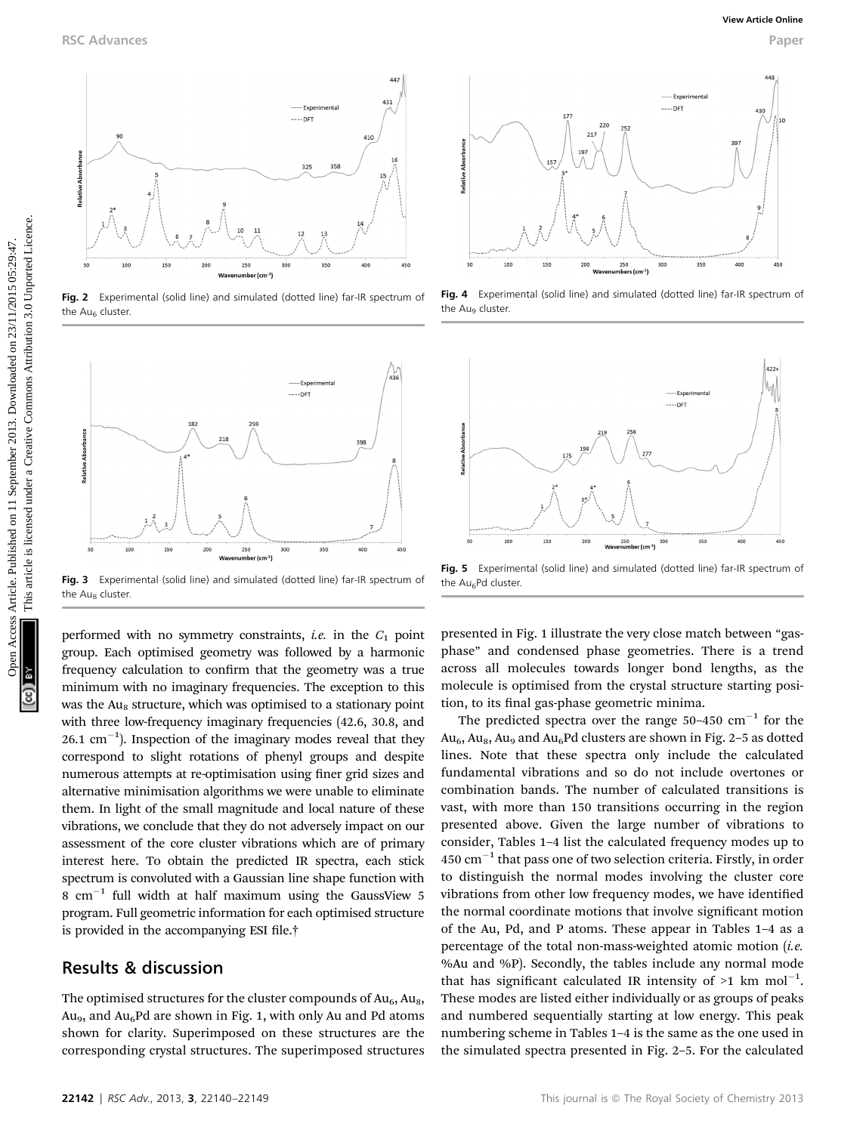

Fig. 2 Experimental (solid line) and simulated (dotted line) far-IR spectrum of the  $Au<sub>6</sub>$  cluster.



Fig. 3 Experimental (solid line) and simulated (dotted line) far-IR spectrum of the Au<sub>8</sub> cluster.

performed with no symmetry constraints, *i.e.* in the  $C_1$  point group. Each optimised geometry was followed by a harmonic frequency calculation to confirm that the geometry was a true minimum with no imaginary frequencies. The exception to this was the Au<sub>8</sub> structure, which was optimised to a stationary point with three low-frequency imaginary frequencies (42.6, 30.8, and 26.1  $\text{cm}^{-1}$ ). Inspection of the imaginary modes reveal that they correspond to slight rotations of phenyl groups and despite numerous attempts at re-optimisation using finer grid sizes and alternative minimisation algorithms we were unable to eliminate them. In light of the small magnitude and local nature of these vibrations, we conclude that they do not adversely impact on our assessment of the core cluster vibrations which are of primary interest here. To obtain the predicted IR spectra, each stick spectrum is convoluted with a Gaussian line shape function with 8  $cm^{-1}$  full width at half maximum using the GaussView 5 program. Full geometric information for each optimised structure is provided in the accompanying ESI file.<sup>†</sup>

### Results & discussion

The optimised structures for the cluster compounds of  $Au_6$ ,  $Au_8$ , Au<sub>9</sub>, and Au<sub>6</sub>Pd are shown in Fig. 1, with only Au and Pd atoms shown for clarity. Superimposed on these structures are the corresponding crystal structures. The superimposed structures



Fig. 4 Experimental (solid line) and simulated (dotted line) far-IR spectrum of the Au<sub>9</sub> cluster



Fig. 5 Experimental (solid line) and simulated (dotted line) far-IR spectrum of the Au<sub>6</sub>Pd cluster.

presented in Fig. 1 illustrate the very close match between "gasphase" and condensed phase geometries. There is a trend across all molecules towards longer bond lengths, as the molecule is optimised from the crystal structure starting position, to its final gas-phase geometric minima.

The predicted spectra over the range  $50-450$  cm<sup>-1</sup> for the  $Au<sub>6</sub>$ ,  $Au<sub>8</sub>$ ,  $Au<sub>9</sub>$  and  $Au<sub>6</sub>Pd$  clusters are shown in Fig. 2-5 as dotted lines. Note that these spectra only include the calculated fundamental vibrations and so do not include overtones or combination bands. The number of calculated transitions is vast, with more than 150 transitions occurring in the region presented above. Given the large number of vibrations to consider, Tables 1–4 list the calculated frequency modes up to 450  $\text{cm}^{-1}$  that pass one of two selection criteria. Firstly, in order to distinguish the normal modes involving the cluster core vibrations from other low frequency modes, we have identified the normal coordinate motions that involve significant motion of the Au, Pd, and P atoms. These appear in Tables 1–4 as a percentage of the total non-mass-weighted atomic motion (*i.e.* %Au and %P). Secondly, the tables include any normal mode that has significant calculated IR intensity of  $>1$  km mol<sup>-1</sup>. These modes are listed either individually or as groups of peaks and numbered sequentially starting at low energy. This peak numbering scheme in Tables 1–4 is the same as the one used in the simulated spectra presented in Fig. 2–5. For the calculated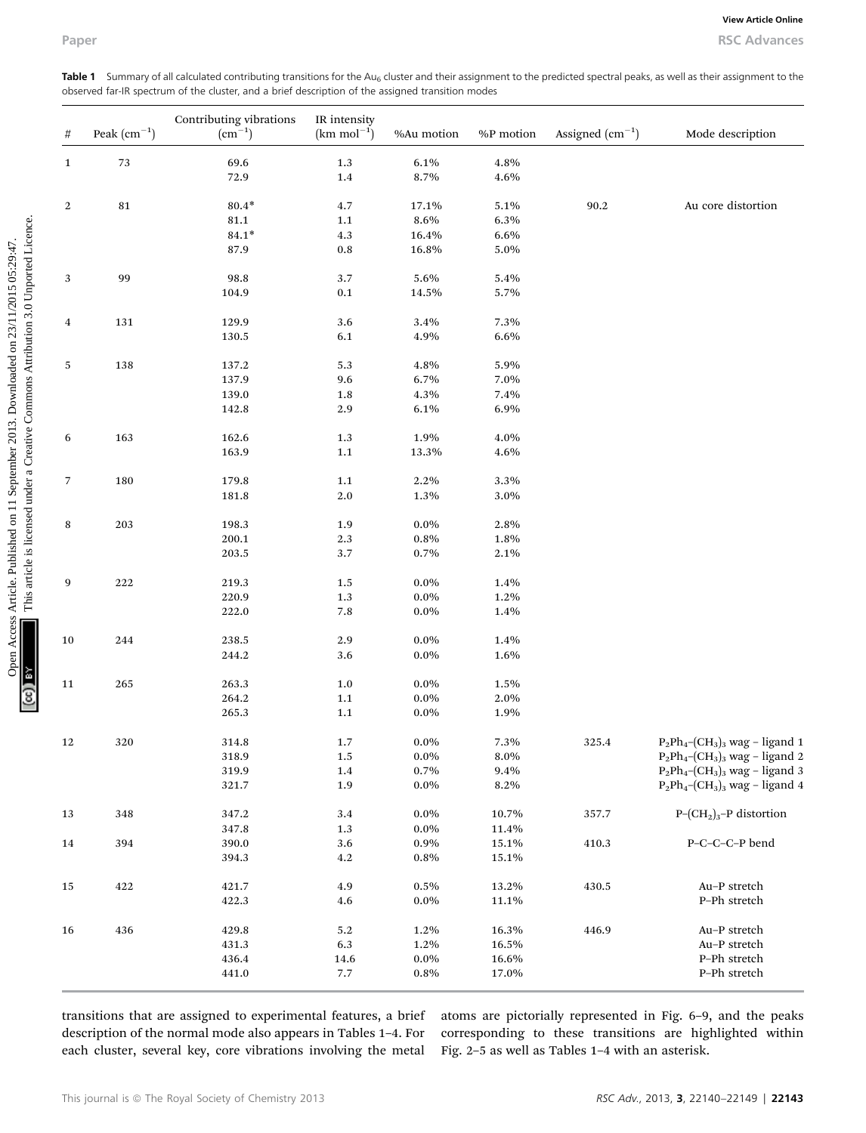Table 1 Summary of all calculated contributing transitions for the Au<sub>6</sub> cluster and their assignment to the predicted spectral peaks, as well as their assignment to the observed far-IR spectrum of the cluster, and a brief description of the assigned transition modes

| Paper        |                  | observed far-IR spectrum of the cluster, and a brief description of the assigned transition modes |                                         |                 |                |                   | <b>RSC Advances</b><br>Table 1 Summary of all calculated contributing transitions for the Au <sub>6</sub> cluster and their assignment to the predicted spectral peaks, as well as their assignment to the |
|--------------|------------------|---------------------------------------------------------------------------------------------------|-----------------------------------------|-----------------|----------------|-------------------|------------------------------------------------------------------------------------------------------------------------------------------------------------------------------------------------------------|
| #            | Peak $(cm^{-1})$ | Contributing vibrations<br>$\rm (cm^{-1})$                                                        | IR intensity<br>$(km \text{ mol}^{-1})$ | %Au motion      | %P motion      | Assigned $(cm-1)$ | Mode description                                                                                                                                                                                           |
| $\mathbf{1}$ | 73               | 69.6                                                                                              | 1.3                                     | 6.1%            | 4.8%           |                   |                                                                                                                                                                                                            |
|              |                  | 72.9                                                                                              | 1.4                                     | 8.7%            | 4.6%           |                   |                                                                                                                                                                                                            |
| 2            | 81               | $80.4*$                                                                                           | 4.7                                     | 17.1%           | 5.1%           | 90.2              | Au core distortion                                                                                                                                                                                         |
|              |                  | 81.1                                                                                              | 1.1                                     | 8.6%            | 6.3%           |                   |                                                                                                                                                                                                            |
|              |                  | $84.1*$<br>87.9                                                                                   | 4.3<br>0.8                              | 16.4%<br>16.8%  | 6.6%<br>5.0%   |                   |                                                                                                                                                                                                            |
|              |                  |                                                                                                   |                                         |                 |                |                   |                                                                                                                                                                                                            |
| 3            | 99               | 98.8                                                                                              | 3.7                                     | 5.6%            | 5.4%           |                   |                                                                                                                                                                                                            |
|              |                  | 104.9                                                                                             | 0.1                                     | 14.5%           | 5.7%           |                   |                                                                                                                                                                                                            |
|              |                  |                                                                                                   |                                         |                 |                |                   |                                                                                                                                                                                                            |
| 4            | 131              | 129.9<br>130.5                                                                                    | 3.6<br>6.1                              | 3.4%<br>4.9%    | 7.3%<br>6.6%   |                   |                                                                                                                                                                                                            |
|              |                  |                                                                                                   |                                         |                 |                |                   |                                                                                                                                                                                                            |
| 5            | 138              | 137.2                                                                                             | 5.3                                     | 4.8%            | 5.9%           |                   |                                                                                                                                                                                                            |
|              |                  | 137.9                                                                                             | 9.6                                     | 6.7%            | 7.0%           |                   |                                                                                                                                                                                                            |
|              |                  | 139.0                                                                                             | 1.8                                     | 4.3%            | 7.4%           |                   |                                                                                                                                                                                                            |
|              |                  | 142.8                                                                                             | 2.9                                     | 6.1%            | 6.9%           |                   |                                                                                                                                                                                                            |
|              |                  | 162.6                                                                                             | 1.3                                     | 1.9%            | 4.0%           |                   |                                                                                                                                                                                                            |
| 6            | 163              | 163.9                                                                                             | 1.1                                     | 13.3%           | 4.6%           |                   |                                                                                                                                                                                                            |
|              |                  |                                                                                                   |                                         |                 |                |                   |                                                                                                                                                                                                            |
| 7            | 180              | 179.8                                                                                             | 1.1                                     | 2.2%            | 3.3%           |                   |                                                                                                                                                                                                            |
|              |                  | 181.8                                                                                             | 2.0                                     | 1.3%            | 3.0%           |                   |                                                                                                                                                                                                            |
|              |                  |                                                                                                   |                                         |                 |                |                   |                                                                                                                                                                                                            |
| 8            | 203              | 198.3                                                                                             | 1.9                                     | $0.0\%$         | 2.8%           |                   |                                                                                                                                                                                                            |
|              |                  | 200.1<br>203.5                                                                                    | 2.3<br>3.7                              | 0.8%<br>0.7%    | 1.8%<br>2.1%   |                   |                                                                                                                                                                                                            |
|              |                  |                                                                                                   |                                         |                 |                |                   |                                                                                                                                                                                                            |
| 9            | 222              | 219.3                                                                                             | 1.5                                     | $0.0\%$         | 1.4%           |                   |                                                                                                                                                                                                            |
|              |                  | 220.9                                                                                             | 1.3                                     | $0.0\%$         | 1.2%           |                   |                                                                                                                                                                                                            |
|              |                  | 222.0                                                                                             | 7.8                                     | $0.0\%$         | 1.4%           |                   |                                                                                                                                                                                                            |
| 10           | 244              | 238.5                                                                                             | 2.9                                     | $0.0\%$         | 1.4%           |                   |                                                                                                                                                                                                            |
|              |                  | 244.2                                                                                             | 3.6                                     | $0.0\%$         | 1.6%           |                   |                                                                                                                                                                                                            |
|              |                  |                                                                                                   |                                         |                 |                |                   |                                                                                                                                                                                                            |
| $11\,$       | 265              | 263.3                                                                                             | 1.0                                     | $0.0\%$         | 1.5%           |                   |                                                                                                                                                                                                            |
|              |                  | 264.2                                                                                             | $1.1\,$                                 | $0.0\%$         | $2.0\%$        |                   |                                                                                                                                                                                                            |
|              |                  | 265.3                                                                                             | 1.1                                     | $0.0\%$         | 1.9%           |                   |                                                                                                                                                                                                            |
| 12           | 320              | 314.8                                                                                             | 1.7                                     | $0.0\%$         | 7.3%           | 325.4             | $P_2Ph_4$ - $(CH_3)_3$ wag – ligand 1                                                                                                                                                                      |
|              |                  | 318.9                                                                                             | 1.5                                     | $0.0\%$         | $8.0\%$        |                   | $P_2Ph_4$ - $(CH_3)_3$ wag - ligand 2                                                                                                                                                                      |
|              |                  | 319.9                                                                                             | 1.4                                     | 0.7%            | 9.4%           |                   | $P_2Ph_4$ - $(CH_3)_3$ wag – ligand 3                                                                                                                                                                      |
|              |                  | 321.7                                                                                             | 1.9                                     | $0.0\%$         | 8.2%           |                   | $P_2Ph_4$ - $(CH_3)_3$ wag - ligand 4                                                                                                                                                                      |
|              |                  |                                                                                                   |                                         |                 |                |                   |                                                                                                                                                                                                            |
| 13           | 348              | 347.2                                                                                             | 3.4                                     | $0.0\%$         | 10.7%          | 357.7             | $P$ - $(CH2)3$ -P distortion                                                                                                                                                                               |
| 14           | 394              | 347.8<br>390.0                                                                                    | 1.3<br>3.6                              | $0.0\%$<br>0.9% | 11.4%<br>15.1% | 410.3             | P-C-C-C-P bend                                                                                                                                                                                             |
|              |                  | 394.3                                                                                             | 4.2                                     | 0.8%            | 15.1%          |                   |                                                                                                                                                                                                            |
|              |                  |                                                                                                   |                                         |                 |                |                   |                                                                                                                                                                                                            |
| 15           | $422\,$          | 421.7                                                                                             | 4.9                                     | 0.5%            | 13.2%          | 430.5             | Au-P stretch                                                                                                                                                                                               |
|              |                  | 422.3                                                                                             | 4.6                                     | $0.0\%$         | 11.1%          |                   | P-Ph stretch                                                                                                                                                                                               |
| 16           | 436              | 429.8                                                                                             | 5.2                                     | 1.2%            | 16.3%          | 446.9             | Au-P stretch                                                                                                                                                                                               |
|              |                  | 431.3                                                                                             | 6.3                                     | 1.2%            | 16.5%          |                   | Au-P stretch                                                                                                                                                                                               |
|              |                  | 436.4                                                                                             | 14.6                                    | $0.0\%$         | 16.6%          |                   | P-Ph stretch                                                                                                                                                                                               |
|              |                  | 441.0                                                                                             | 7.7                                     | 0.8%            | 17.0%          |                   | P-Ph stretch                                                                                                                                                                                               |

transitions that are assigned to experimental features, a brief description of the normal mode also appears in Tables 1–4. For each cluster, several key, core vibrations involving the metal

atoms are pictorially represented in Fig. 6–9, and the peaks corresponding to these transitions are highlighted within Fig. 2–5 as well as Tables 1–4 with an asterisk.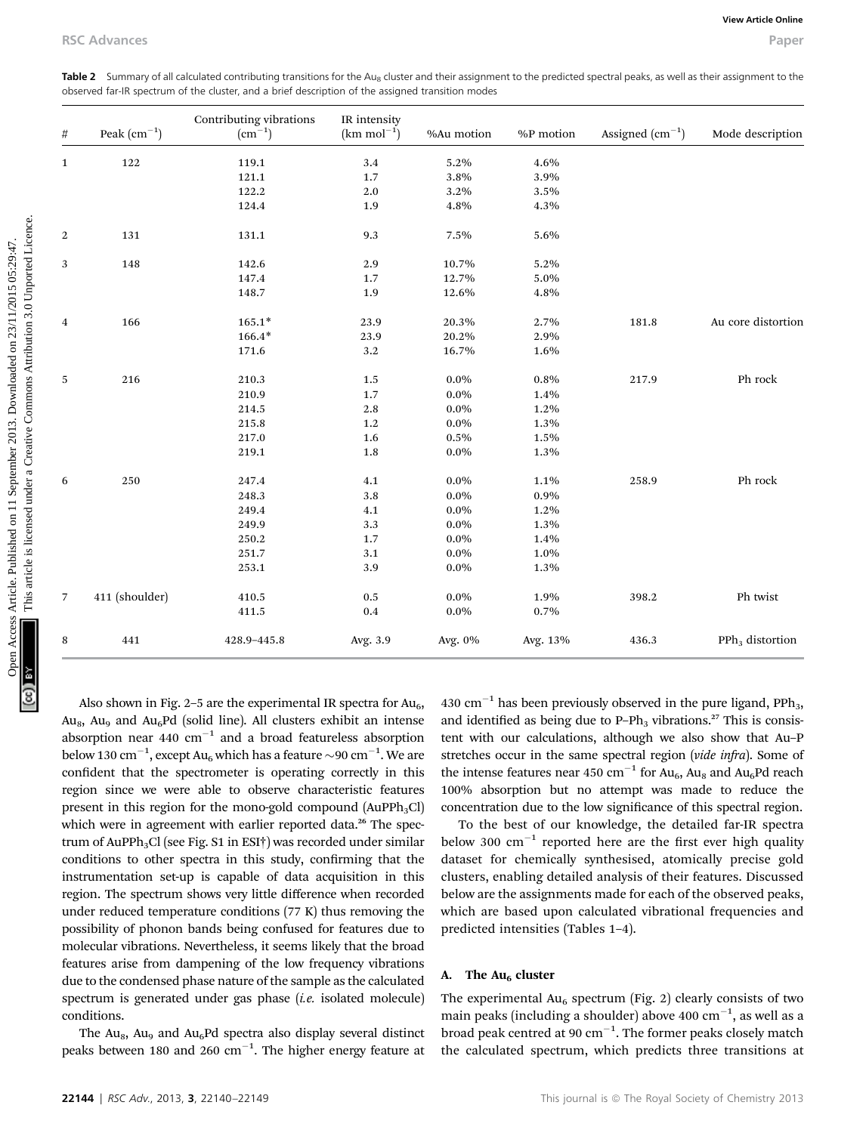|                |                      | observed far-IR spectrum of the cluster, and a brief description of the assigned transition modes |                                         |            |           |                   |                             |
|----------------|----------------------|---------------------------------------------------------------------------------------------------|-----------------------------------------|------------|-----------|-------------------|-----------------------------|
| #              | Peak $\rm (cm^{-1})$ | Contributing vibrations<br>$\rm (cm^{-1})$                                                        | IR intensity<br>$(km \text{ mol}^{-1})$ | %Au motion | %P motion | Assigned $(cm-1)$ | Mode description            |
| 1              | 122                  | 119.1                                                                                             | 3.4                                     | 5.2%       | 4.6%      |                   |                             |
|                |                      | 121.1                                                                                             | 1.7                                     | 3.8%       | 3.9%      |                   |                             |
|                |                      | 122.2                                                                                             | 2.0                                     | 3.2%       | 3.5%      |                   |                             |
|                |                      | 124.4                                                                                             | 1.9                                     | 4.8%       | 4.3%      |                   |                             |
| 2              | 131                  | 131.1                                                                                             | 9.3                                     | 7.5%       | 5.6%      |                   |                             |
| 3              | 148                  | 142.6                                                                                             | 2.9                                     | 10.7%      | 5.2%      |                   |                             |
|                |                      | 147.4                                                                                             | 1.7                                     | 12.7%      | 5.0%      |                   |                             |
|                |                      | 148.7                                                                                             | 1.9                                     | 12.6%      | 4.8%      |                   |                             |
| 4              | 166                  | $165.1*$                                                                                          | 23.9                                    | 20.3%      | 2.7%      | 181.8             | Au core distortion          |
|                |                      | $166.4*$                                                                                          | 23.9                                    | 20.2%      | 2.9%      |                   |                             |
|                |                      | 171.6                                                                                             | 3.2                                     | 16.7%      | 1.6%      |                   |                             |
| 5              | 216                  | 210.3                                                                                             | 1.5                                     | $0.0\%$    | 0.8%      | 217.9             | Ph rock                     |
|                |                      | 210.9                                                                                             | 1.7                                     | $0.0\%$    | 1.4%      |                   |                             |
|                |                      | 214.5                                                                                             | 2.8                                     | $0.0\%$    | 1.2%      |                   |                             |
|                |                      | 215.8                                                                                             | 1.2                                     | $0.0\%$    | 1.3%      |                   |                             |
|                |                      | 217.0                                                                                             | 1.6                                     | 0.5%       | 1.5%      |                   |                             |
|                |                      | 219.1                                                                                             | 1.8                                     | $0.0\%$    | 1.3%      |                   |                             |
| 6              | 250                  | 247.4                                                                                             | 4.1                                     | $0.0\%$    | 1.1%      | 258.9             | Ph rock                     |
|                |                      | 248.3                                                                                             | 3.8                                     | $0.0\%$    | 0.9%      |                   |                             |
|                |                      | 249.4                                                                                             | 4.1                                     | $0.0\%$    | 1.2%      |                   |                             |
|                |                      | 249.9                                                                                             | 3.3                                     | $0.0\%$    | 1.3%      |                   |                             |
|                |                      | 250.2                                                                                             | 1.7                                     | $0.0\%$    | 1.4%      |                   |                             |
|                |                      | 251.7                                                                                             | 3.1                                     | $0.0\%$    | 1.0%      |                   |                             |
|                |                      | 253.1                                                                                             | 3.9                                     | $0.0\%$    | 1.3%      |                   |                             |
| $\overline{7}$ | 411 (shoulder)       | 410.5                                                                                             | 0.5                                     | $0.0\%$    | 1.9%      | 398.2             | Ph twist                    |
|                |                      | 411.5                                                                                             | 0.4                                     | $0.0\%$    | 0.7%      |                   |                             |
| 8              | 441                  | 428.9-445.8                                                                                       | Avg. 3.9                                | Avg. 0%    | Avg. 13%  | 436.3             | PPh <sub>3</sub> distortion |

Table 2 Summary of all calculated contributing transitions for the Au<sub>8</sub> cluster and their assignment to the predicted spectral peaks, as well as their assignment to the observed far-IR spectrum of the cluster, and a brief description of the assigned transition modes

Also shown in Fig. 2–5 are the experimental IR spectra for  $Au<sub>6</sub>$ , Au<sub>8</sub>, Au<sub>9</sub> and Au<sub>6</sub>Pd (solid line). All clusters exhibit an intense absorption near  $440 \text{ cm}^{-1}$  and a broad featureless absorption below 130  $\text{cm}^{-1}$ , except Au<sub>6</sub> which has a feature  $\sim$ 90  $\text{cm}^{-1}$ . We are confident that the spectrometer is operating correctly in this region since we were able to observe characteristic features present in this region for the mono-gold compound  $(AuPPh_3Cl)$ which were in agreement with earlier reported data.<sup>26</sup> The spectrum of AuPPh<sub>3</sub>Cl (see Fig. S1 in ESI<sup>†</sup>) was recorded under similar conditions to other spectra in this study, confirming that the instrumentation set-up is capable of data acquisition in this region. The spectrum shows very little difference when recorded under reduced temperature conditions (77 K) thus removing the possibility of phonon bands being confused for features due to molecular vibrations. Nevertheless, it seems likely that the broad features arise from dampening of the low frequency vibrations due to the condensed phase nature of the sample as the calculated spectrum is generated under gas phase (i.e. isolated molecule) conditions.

The  $Au<sub>8</sub>$ ,  $Au<sub>9</sub>$  and  $Au<sub>6</sub>Pd$  spectra also display several distinct peaks between 180 and 260  $\text{cm}^{-1}$ . The higher energy feature at

430 cm<sup>-1</sup> has been previously observed in the pure ligand, PPh<sub>3</sub>, and identified as being due to  $P-Ph_3$  vibrations.<sup>27</sup> This is consistent with our calculations, although we also show that Au–P stretches occur in the same spectral region (vide infra). Some of the intense features near 450 cm<sup>-1</sup> for Au<sub>6</sub>, Au<sub>8</sub> and Au<sub>6</sub>Pd reach 100% absorption but no attempt was made to reduce the concentration due to the low significance of this spectral region.

To the best of our knowledge, the detailed far-IR spectra below 300  $\text{cm}^{-1}$  reported here are the first ever high quality dataset for chemically synthesised, atomically precise gold clusters, enabling detailed analysis of their features. Discussed below are the assignments made for each of the observed peaks, which are based upon calculated vibrational frequencies and predicted intensities (Tables 1–4).

#### A. The  $Au<sub>6</sub>$  cluster

The experimental  $Au_6$  spectrum (Fig. 2) clearly consists of two main peaks (including a shoulder) above 400  $\rm cm^{-1}$ , as well as a broad peak centred at 90  $cm^{-1}$ . The former peaks closely match the calculated spectrum, which predicts three transitions at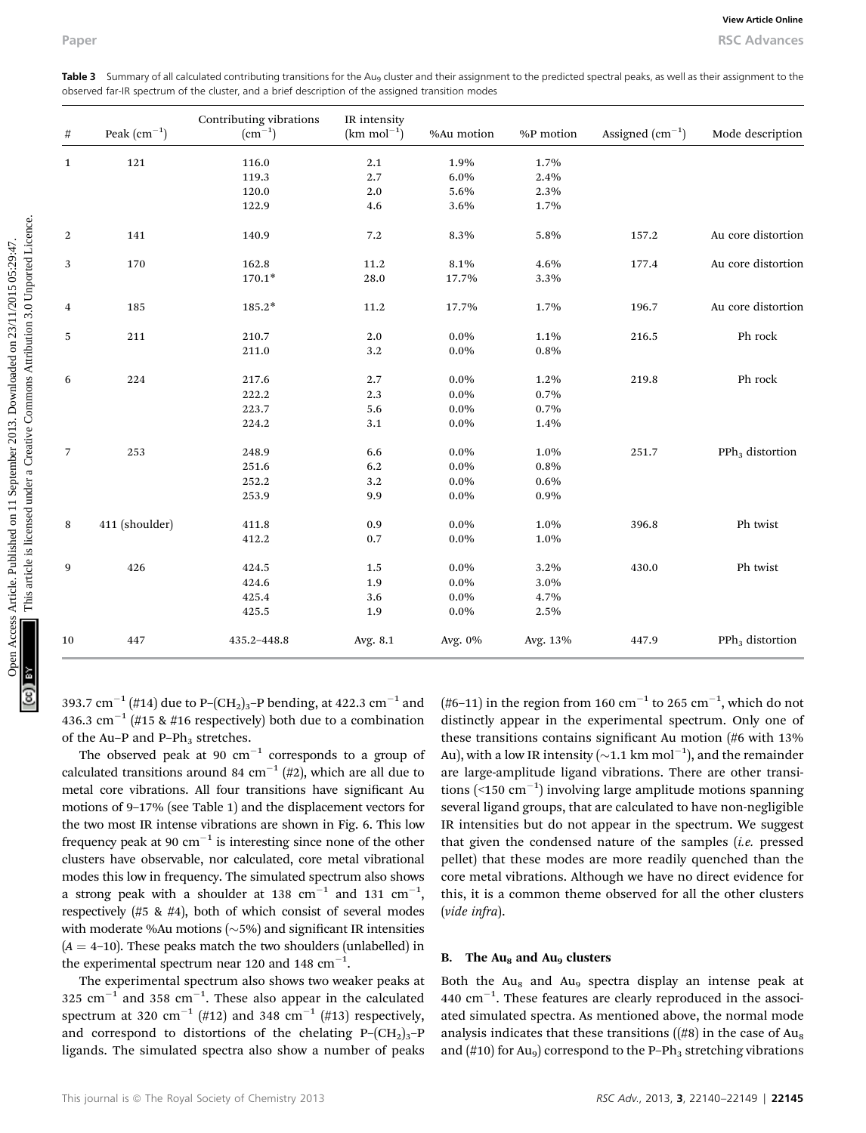|              |                      |                                        |                                         | observed far-IR spectrum of the cluster, and a brief description of the assigned transition modes |           |                   |                             |
|--------------|----------------------|----------------------------------------|-----------------------------------------|---------------------------------------------------------------------------------------------------|-----------|-------------------|-----------------------------|
| $\#$         | Peak $\rm (cm^{-1})$ | Contributing vibrations<br>$(cm^{-1})$ | IR intensity<br>$(km \text{ mol}^{-1})$ | %Au motion                                                                                        | %P motion | Assigned $(cm-1)$ | Mode description            |
| $\mathbf{1}$ | 121                  | 116.0                                  | 2.1                                     | 1.9%                                                                                              | 1.7%      |                   |                             |
|              |                      | 119.3                                  | 2.7                                     | 6.0%                                                                                              | 2.4%      |                   |                             |
|              |                      | 120.0                                  | 2.0                                     | 5.6%                                                                                              | 2.3%      |                   |                             |
|              |                      | 122.9                                  | 4.6                                     | 3.6%                                                                                              | 1.7%      |                   |                             |
| 2            | 141                  | 140.9                                  | 7.2                                     | 8.3%                                                                                              | 5.8%      | 157.2             | Au core distortion          |
| 3            | 170                  | 162.8                                  | 11.2                                    | 8.1%                                                                                              | 4.6%      | 177.4             | Au core distortion          |
|              |                      | $170.1*$                               | 28.0                                    | 17.7%                                                                                             | 3.3%      |                   |                             |
| 4            | 185                  | $185.2*$                               | 11.2                                    | 17.7%                                                                                             | 1.7%      | 196.7             | Au core distortion          |
| 5            | 211                  | 210.7                                  | 2.0                                     | $0.0\%$                                                                                           | 1.1%      | 216.5             | Ph rock                     |
|              |                      | 211.0                                  | 3.2                                     | $0.0\%$                                                                                           | 0.8%      |                   |                             |
| 6            | 224                  | 217.6                                  | 2.7                                     | $0.0\%$                                                                                           | 1.2%      | 219.8             | Ph rock                     |
|              |                      | 222.2                                  | 2.3                                     | $0.0\%$                                                                                           | 0.7%      |                   |                             |
|              |                      | 223.7                                  | 5.6                                     | $0.0\%$                                                                                           | 0.7%      |                   |                             |
|              |                      | 224.2                                  | 3.1                                     | $0.0\%$                                                                                           | 1.4%      |                   |                             |
| 7            | 253                  | 248.9                                  | 6.6                                     | $0.0\%$                                                                                           | 1.0%      | 251.7             | PPh <sub>3</sub> distortion |
|              |                      | 251.6                                  | 6.2                                     | $0.0\%$                                                                                           | 0.8%      |                   |                             |
|              |                      | 252.2                                  | 3.2                                     | $0.0\%$                                                                                           | 0.6%      |                   |                             |
|              |                      | 253.9                                  | 9.9                                     | $0.0\%$                                                                                           | 0.9%      |                   |                             |
| 8            | 411 (shoulder)       | 411.8                                  | 0.9                                     | $0.0\%$                                                                                           | 1.0%      | 396.8             | Ph twist                    |
|              |                      | 412.2                                  | 0.7                                     | $0.0\%$                                                                                           | 1.0%      |                   |                             |
| 9            | 426                  | 424.5                                  | 1.5                                     | $0.0\%$                                                                                           | 3.2%      | 430.0             | Ph twist                    |
|              |                      | 424.6                                  | 1.9                                     | $0.0\%$                                                                                           | 3.0%      |                   |                             |
|              |                      | 425.4                                  | 3.6                                     | $0.0\%$                                                                                           | 4.7%      |                   |                             |
|              |                      | 425.5                                  | 1.9                                     | $0.0\%$                                                                                           | 2.5%      |                   |                             |
| 10           | 447                  | 435.2-448.8                            | Avg. 8.1                                | Avg. 0%                                                                                           | Avg. 13%  | 447.9             | PPh <sub>3</sub> distortion |

Table 3 Summary of all calculated contributing transitions for the Au<sub>9</sub> cluster and their assignment to the predicted spectral peaks, as well as their assignment to the observed far-IR spectrum of the cluster, and a brief description of the assigned transition modes

393.7 cm<sup>-1</sup> (#14) due to P-(CH<sub>2</sub>)<sub>3</sub>-P bending, at 422.3 cm<sup>-1</sup> and 436.3 cm<sup>-1</sup> (#15 & #16 respectively) both due to a combination of the Au–P and P–P $h_3$  stretches.

The observed peak at 90  $cm^{-1}$  corresponds to a group of calculated transitions around 84 cm<sup>-1</sup> (#2), which are all due to metal core vibrations. All four transitions have significant Au motions of 9–17% (see Table 1) and the displacement vectors for the two most IR intense vibrations are shown in Fig. 6. This low frequency peak at 90  $cm^{-1}$  is interesting since none of the other clusters have observable, nor calculated, core metal vibrational modes this low in frequency. The simulated spectrum also shows a strong peak with a shoulder at 138  $\text{cm}^{-1}$  and 131  $\text{cm}^{-1}$ , respectively (#5 & #4), both of which consist of several modes with moderate %Au motions  $({\sim}5%)$  and significant IR intensities  $(A = 4-10)$ . These peaks match the two shoulders (unlabelled) in the experimental spectrum near 120 and 148  $\text{cm}^{-1}$ .

The experimental spectrum also shows two weaker peaks at 325  $\text{cm}^{-1}$  and 358  $\text{cm}^{-1}$ . These also appear in the calculated spectrum at 320 cm<sup>-1</sup> (#12) and 348 cm<sup>-1</sup> (#13) respectively, and correspond to distortions of the chelating  $P-(CH_2)_3-P$ ligands. The simulated spectra also show a number of peaks

(#6–11) in the region from 160  $\mathrm{cm}^{-1}$  to 265  $\mathrm{cm}^{-1}$ , which do not distinctly appear in the experimental spectrum. Only one of these transitions contains significant Au motion (#6 with 13% Au), with a low IR intensity ( $\sim$ 1.1 km mol $^{-1}$ ), and the remainder are large-amplitude ligand vibrations. There are other transitions (<150  $\text{cm}^{-1}$ ) involving large amplitude motions spanning several ligand groups, that are calculated to have non-negligible IR intensities but do not appear in the spectrum. We suggest that given the condensed nature of the samples  $(i.e.$  pressed pellet) that these modes are more readily quenched than the core metal vibrations. Although we have no direct evidence for this, it is a common theme observed for all the other clusters (vide infra).

#### B. The  $Au_8$  and  $Au_9$  clusters

Both the  $Au<sub>8</sub>$  and  $Au<sub>9</sub>$  spectra display an intense peak at  $440 \text{ cm}^{-1}$ . These features are clearly reproduced in the associated simulated spectra. As mentioned above, the normal mode analysis indicates that these transitions  $((\#8)$  in the case of Au<sub>8</sub> and (#10) for  $Au<sub>9</sub>$ ) correspond to the P-Ph<sub>3</sub> stretching vibrations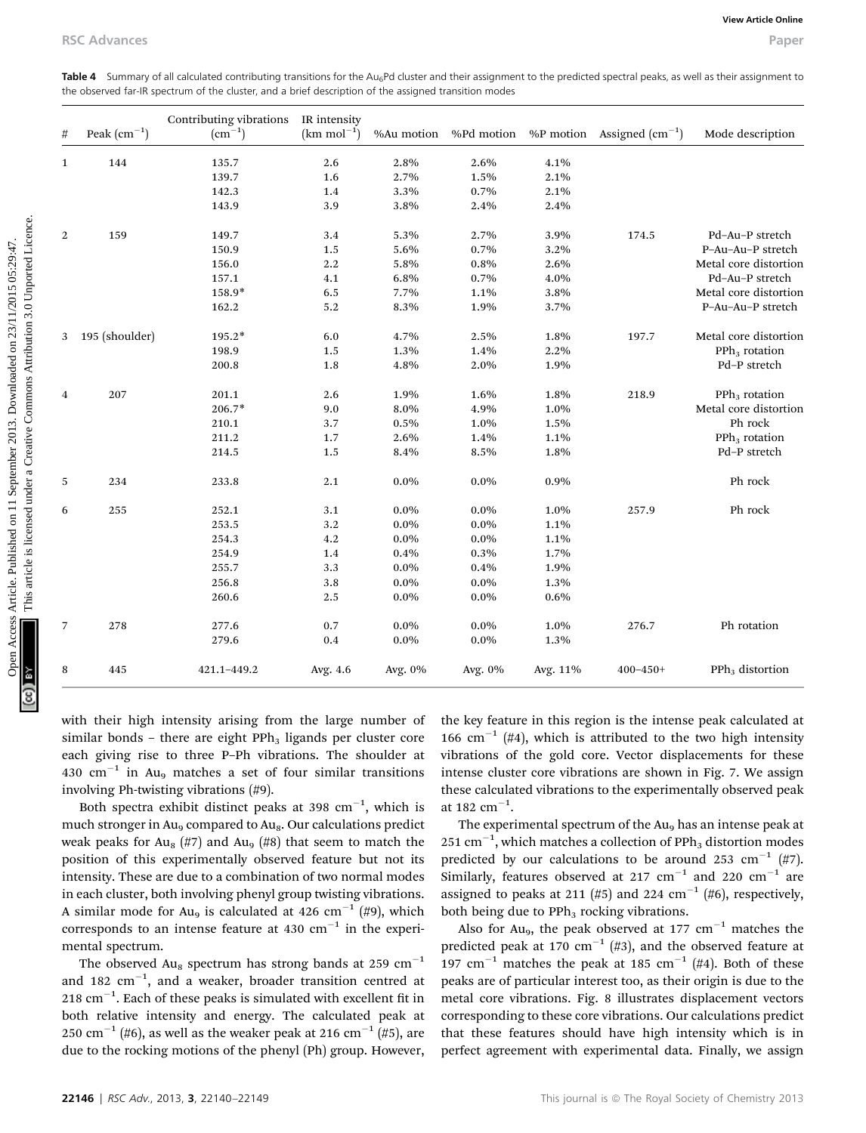| #            | Peak $(cm^{-1})$ | Contributing vibrations<br>$\rm (cm^{-1})$ | IR intensity<br>$(km \text{ mol}^{-1})$ | %Au motion   | %Pd motion   |              | %P motion Assigned $\text{(cm}^{-1}\text{)}$ | Mode description      |
|--------------|------------------|--------------------------------------------|-----------------------------------------|--------------|--------------|--------------|----------------------------------------------|-----------------------|
|              |                  |                                            |                                         |              |              |              |                                              |                       |
| $\mathbf{1}$ | 144              | 135.7<br>139.7                             | 2.6                                     | 2.8%<br>2.7% | 2.6%         | 4.1%         |                                              |                       |
|              |                  | 142.3                                      | 1.6                                     | 3.3%         | 1.5%<br>0.7% | 2.1%<br>2.1% |                                              |                       |
|              |                  | 143.9                                      | 1.4                                     | 3.8%         |              | 2.4%         |                                              |                       |
|              |                  |                                            | 3.9                                     |              | 2.4%         |              |                                              |                       |
| 2            | 159              | 149.7                                      | 3.4                                     | 5.3%         | 2.7%         | 3.9%         | 174.5                                        | Pd-Au-P stretch       |
|              |                  | 150.9                                      | 1.5                                     | 5.6%         | 0.7%         | 3.2%         |                                              | P-Au-Au-P stretch     |
|              |                  | 156.0                                      | 2.2                                     | 5.8%         | 0.8%         | 2.6%         |                                              | Metal core distortion |
|              |                  | 157.1                                      | 4.1                                     | 6.8%         | 0.7%         | $4.0\%$      |                                              | Pd-Au-P stretch       |
|              |                  | 158.9*                                     | 6.5                                     | 7.7%         | 1.1%         | 3.8%         |                                              | Metal core distortion |
|              |                  | 162.2                                      | 5.2                                     | 8.3%         | 1.9%         | 3.7%         |                                              | P-Au-Au-P stretch     |
| 3            | 195 (shoulder)   | 195.2*                                     | 6.0                                     | 4.7%         | 2.5%         | 1.8%         | 197.7                                        | Metal core distortion |
|              |                  | 198.9                                      | 1.5                                     | 1.3%         | 1.4%         | 2.2%         |                                              | $PPh3$ rotation       |
|              |                  | 200.8                                      | 1.8                                     | 4.8%         | 2.0%         | 1.9%         |                                              | Pd-P stretch          |
| 4            | 207              | 201.1                                      | 2.6                                     | 1.9%         | 1.6%         | 1.8%         | 218.9                                        | $PPh3$ rotation       |
|              |                  | $206.7*$                                   | 9.0                                     | 8.0%         | 4.9%         | 1.0%         |                                              | Metal core distortion |
|              |                  | 210.1                                      | 3.7                                     | 0.5%         | 1.0%         | 1.5%         |                                              | Ph rock               |
|              |                  | 211.2                                      | 1.7                                     | 2.6%         | 1.4%         | 1.1%         |                                              | $PPh3$ rotation       |
|              |                  | 214.5                                      | 1.5                                     | 8.4%         | 8.5%         | 1.8%         |                                              | Pd-P stretch          |
| 5            | 234              | 233.8                                      | 2.1                                     | $0.0\%$      | $0.0\%$      | 0.9%         |                                              | Ph rock               |
| 6            | 255              | 252.1                                      | 3.1                                     | $0.0\%$      | $0.0\%$      | 1.0%         | 257.9                                        | Ph rock               |
|              |                  | 253.5                                      | 3.2                                     | $0.0\%$      | $0.0\%$      | 1.1%         |                                              |                       |
|              |                  | 254.3                                      | 4.2                                     | $0.0\%$      | $0.0\%$      | $1.1\%$      |                                              |                       |
|              |                  | 254.9                                      | 1.4                                     | 0.4%         | 0.3%         | 1.7%         |                                              |                       |
|              |                  | 255.7                                      | 3.3                                     | $0.0\%$      | 0.4%         | 1.9%         |                                              |                       |
|              |                  | 256.8                                      | 3.8                                     | $0.0\%$      | $0.0\%$      | 1.3%         |                                              |                       |
|              |                  | 260.6                                      | 2.5                                     | $0.0\%$      | $0.0\%$      | 0.6%         |                                              |                       |
| 7            | 278              | 277.6                                      | 0.7                                     | $0.0\%$      | $0.0\%$      | 1.0%         | 276.7                                        | Ph rotation           |
|              |                  | 279.6                                      | 0.4                                     | $0.0\%$      | $0.0\%$      | 1.3%         |                                              |                       |
| 8            | 445              | 421.1-449.2                                | Avg. 4.6                                | Avg. 0%      | Avg. 0%      | Avg. 11%     | $400 - 450 +$                                | $PPh3$ distortion     |

with their high intensity arising from the large number of similar bonds – there are eight  $PPh_3$  ligands per cluster core each giving rise to three P–Ph vibrations. The shoulder at 430 cm<sup>-1</sup> in Au<sub>9</sub> matches a set of four similar transitions involving Ph-twisting vibrations (#9).

Both spectra exhibit distinct peaks at 398  $\text{cm}^{-1}$ , which is much stronger in Au<sub>9</sub> compared to Au<sub>8</sub>. Our calculations predict weak peaks for Au<sub>8</sub> (#7) and Au<sub>9</sub> (#8) that seem to match the position of this experimentally observed feature but not its intensity. These are due to a combination of two normal modes in each cluster, both involving phenyl group twisting vibrations. A similar mode for Au<sub>9</sub> is calculated at 426 cm<sup>-1</sup> (#9), which corresponds to an intense feature at 430  $cm^{-1}$  in the experimental spectrum.

The observed Au<sub>8</sub> spectrum has strong bands at 259 cm<sup>-1</sup> and 182  $\mathrm{cm}^{-1}$ , and a weaker, broader transition centred at  $218 \text{ cm}^{-1}$ . Each of these peaks is simulated with excellent fit in both relative intensity and energy. The calculated peak at 250 cm<sup>-1</sup> (#6), as well as the weaker peak at 216 cm<sup>-1</sup> (#5), are due to the rocking motions of the phenyl (Ph) group. However, the key feature in this region is the intense peak calculated at 166 cm<sup>-1</sup> (#4), which is attributed to the two high intensity vibrations of the gold core. Vector displacements for these intense cluster core vibrations are shown in Fig. 7. We assign these calculated vibrations to the experimentally observed peak at 182  $\text{cm}^{-1}$ .

The experimental spectrum of the Au<sub>9</sub> has an intense peak at 251  $\rm cm^{-1},$  which matches a collection of PPh<sub>3</sub> distortion modes predicted by our calculations to be around 253 cm<sup>-1</sup> (#7). Similarly, features observed at 217  $cm^{-1}$  and 220  $cm^{-1}$  are assigned to peaks at 211 (#5) and 224 cm<sup>-1</sup> (#6), respectively, both being due to PPh<sub>3</sub> rocking vibrations.

Also for Au<sub>9</sub>, the peak observed at 177 cm<sup>-1</sup> matches the predicted peak at 170  $cm^{-1}$  (#3), and the observed feature at 197 cm<sup>-1</sup> matches the peak at 185 cm<sup>-1</sup> (#4). Both of these peaks are of particular interest too, as their origin is due to the metal core vibrations. Fig. 8 illustrates displacement vectors corresponding to these core vibrations. Our calculations predict that these features should have high intensity which is in perfect agreement with experimental data. Finally, we assign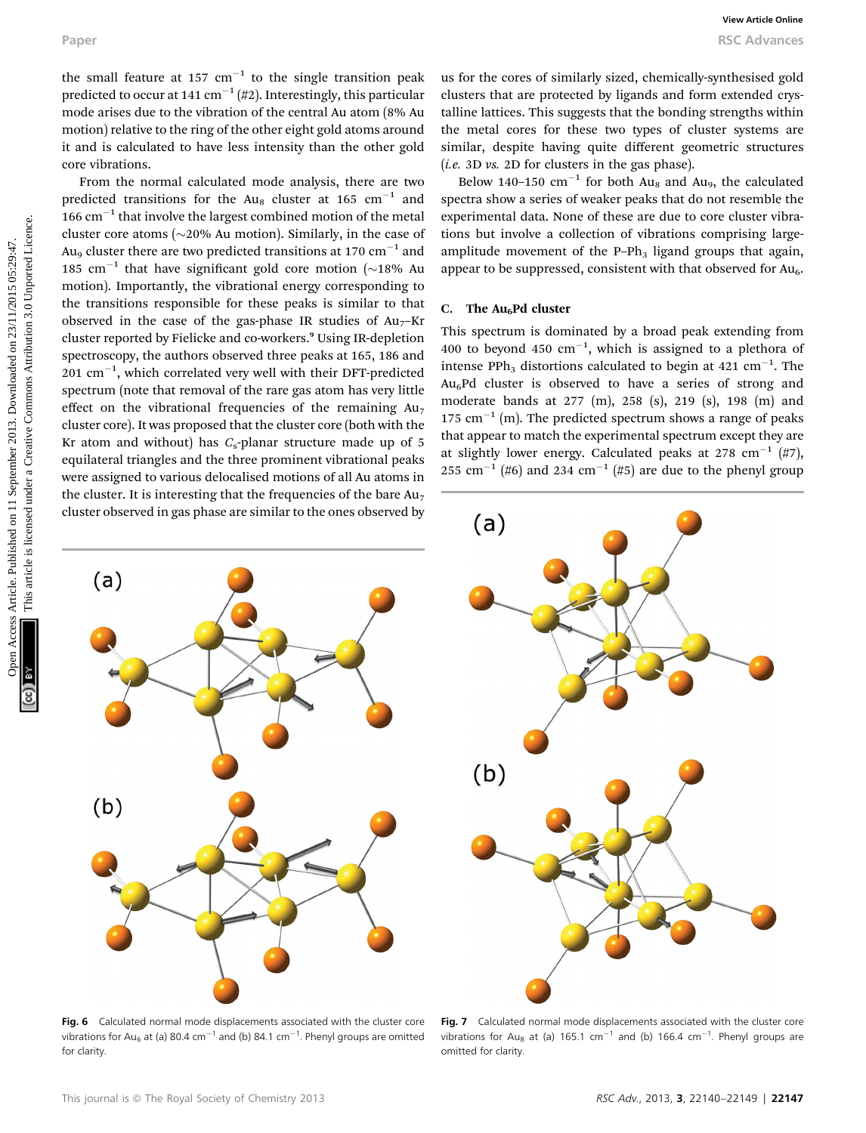the small feature at 157  $cm^{-1}$  to the single transition peak predicted to occur at 141 cm<sup>-1</sup> (#2). Interestingly, this particular mode arises due to the vibration of the central Au atom (8% Au motion) relative to the ring of the other eight gold atoms around it and is calculated to have less intensity than the other gold core vibrations.

From the normal calculated mode analysis, there are two predicted transitions for the Au<sub>8</sub> cluster at 165 cm<sup>-1</sup> and  $166$  cm<sup> $-1$ </sup> that involve the largest combined motion of the metal cluster core atoms ( $\sim$ 20% Au motion). Similarly, in the case of Au<sub>9</sub> cluster there are two predicted transitions at 170 cm<sup>-1</sup> and 185 cm<sup>-1</sup> that have significant gold core motion ( $\sim$ 18% Au motion). Importantly, the vibrational energy corresponding to the transitions responsible for these peaks is similar to that observed in the case of the gas-phase IR studies of  $Au<sub>7</sub>$ –Kr cluster reported by Fielicke and co-workers.<sup>9</sup> Using IR-depletion spectroscopy, the authors observed three peaks at 165, 186 and  $201 \text{ cm}^{-1}$ , which correlated very well with their DFT-predicted spectrum (note that removal of the rare gas atom has very little effect on the vibrational frequencies of the remaining  $Au<sub>7</sub>$ cluster core). It was proposed that the cluster core (both with the Kr atom and without) has  $C_s$ -planar structure made up of 5 equilateral triangles and the three prominent vibrational peaks were assigned to various delocalised motions of all Au atoms in the cluster. It is interesting that the frequencies of the bare  $Au<sub>7</sub>$ cluster observed in gas phase are similar to the ones observed by Paper<br>
The small fracture at 55 cm<sup>-1</sup> to the single transition peak. In for the cost of similarly single, chemically-synthesized gyind<br>
provides are noted ( $\alpha$ ) functional on 2013. Downloaded the similar commons are prov

us for the cores of similarly sized, chemically-synthesised gold clusters that are protected by ligands and form extended crystalline lattices. This suggests that the bonding strengths within the metal cores for these two types of cluster systems are similar, despite having quite different geometric structures (*i.e.* 3D *vs.* 2D for clusters in the gas phase).

Below 140-150  $\text{cm}^{-1}$  for both Au<sub>8</sub> and Au<sub>9</sub>, the calculated spectra show a series of weaker peaks that do not resemble the experimental data. None of these are due to core cluster vibrations but involve a collection of vibrations comprising largeamplitude movement of the P–Ph<sub>3</sub> ligand groups that again, appear to be suppressed, consistent with that observed for  $Au<sub>6</sub>$ .

#### C. The  $Au<sub>6</sub>Pd$  cluster

This spectrum is dominated by a broad peak extending from 400 to beyond 450  $cm^{-1}$ , which is assigned to a plethora of intense PPh<sub>3</sub> distortions calculated to begin at  $421 \text{ cm}^{-1}$ . The  $Au<sub>6</sub>Pd$  cluster is observed to have a series of strong and moderate bands at 277 (m), 258 (s), 219 (s), 198 (m) and 175  $cm^{-1}$  (m). The predicted spectrum shows a range of peaks that appear to match the experimental spectrum except they are at slightly lower energy. Calculated peaks at 278 cm<sup>-1</sup> (#7), 255 cm<sup>-1</sup> (#6) and 234 cm<sup>-1</sup> (#5) are due to the phenyl group



Fig. 6 Calculated normal mode displacements associated with the cluster core vibrations for Au<sub>6</sub> at (a) 80.4 cm $^{-1}$  and (b) 84.1 cm $^{-1}$ . Phenyl groups are omitted for clarity



Fig. 7 Calculated normal mode displacements associated with the cluster core vibrations for Au<sub>8</sub> at (a) 165.1 cm<sup>-1</sup> and (b) 166.4 cm<sup>-1</sup>. Phenyl groups are omitted for clarity.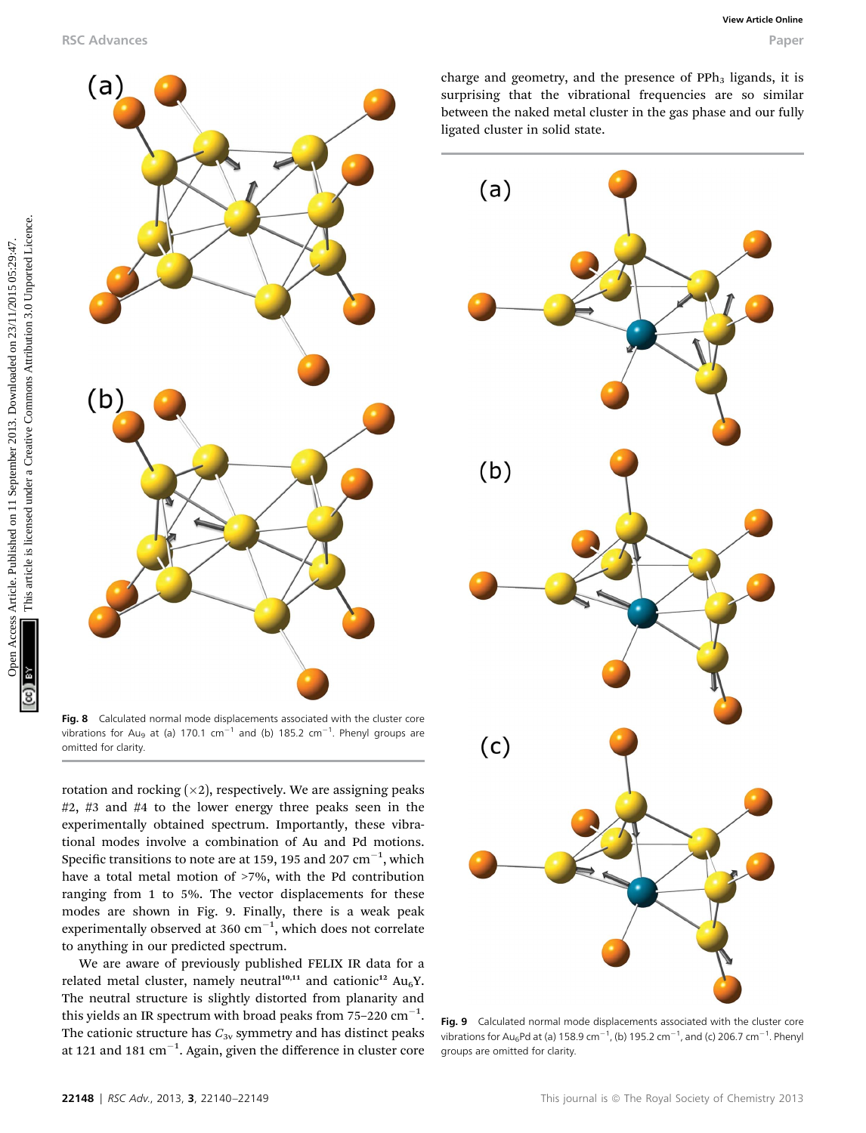

Fig. 8 Calculated normal mode displacements associated with the cluster core vibrations for Au<sub>9</sub> at (a) 170.1 cm<sup>-1</sup> and (b) 185.2 cm<sup>-1</sup>. Phenyl groups are omitted for clarity.

rotation and rocking  $(x2)$ , respectively. We are assigning peaks #2, #3 and #4 to the lower energy three peaks seen in the experimentally obtained spectrum. Importantly, these vibrational modes involve a combination of Au and Pd motions. Specific transitions to note are at 159, 195 and 207  $\mathrm{cm}^{-1}$ , which have a total metal motion of >7%, with the Pd contribution ranging from 1 to 5%. The vector displacements for these modes are shown in Fig. 9. Finally, there is a weak peak experimentally observed at 360  $\mathrm{cm}^{-1}$ , which does not correlate to anything in our predicted spectrum.

We are aware of previously published FELIX IR data for a related metal cluster, namely neutral<sup>10,11</sup> and cationic<sup>12</sup> Au<sub>6</sub>Y. The neutral structure is slightly distorted from planarity and this yields an IR spectrum with broad peaks from 75–220  $\mathrm{cm}^{-1}.$ The cationic structure has  $C_{3v}$  symmetry and has distinct peaks at 121 and 181  $\rm cm^{-1}$ . Again, given the difference in cluster core

charge and geometry, and the presence of  $PPh<sub>3</sub>$  ligands, it is surprising that the vibrational frequencies are so similar between the naked metal cluster in the gas phase and our fully ligated cluster in solid state.



Fig. 9 Calculated normal mode displacements associated with the cluster core vibrations for Au<sub>6</sub>Pd at (a) 158.9 cm $^{-1}$ , (b) 195.2 cm $^{-1}$ , and (c) 206.7 cm $^{-1}$ . Phenyl groups are omitted for clarity.